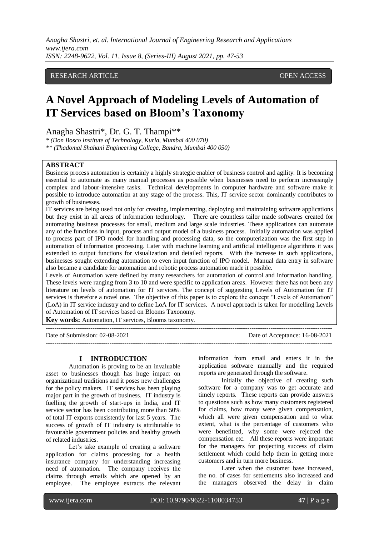*Anagha Shastri, et. al. International Journal of Engineering Research and Applications www.ijera.com ISSN: 2248-9622, Vol. 11, Issue 8, (Series-III) August 2021, pp. 47-53*

## RESEARCH ARTICLE **OPEN ACCESS**

# **A Novel Approach of Modeling Levels of Automation of IT Services based on Bloom's Taxonomy**

Anagha Shastri\*, Dr. G. T. Thampi\*\*

*\* (Don Bosco Institute of Technology, Kurla, Mumbai 400 070)*

*\*\* (Thadomal Shahani Engineering College, Bandra, Mumbai 400 050)*

## **ABSTRACT**

Business process automation is certainly a highly strategic enabler of business control and agility. It is becoming essential to automate as many manual processes as possible when businesses need to perform increasingly complex and labour-intensive tasks. Technical developments in computer hardware and software make it possible to introduce automation at any stage of the process. This, IT service sector dominantly contributes to growth of businesses.

IT services are being used not only for creating, implementing, deploying and maintaining software applications but they exist in all areas of information technology. There are countless tailor made softwares created for automating business processes for small, medium and large scale industries. These applications can automate any of the functions in input, process and output model of a business process. Initially automation was applied to process part of IPO model for handling and processing data, so the computerization was the first step in automation of information processing. Later with machine learning and artificial intelligence algorithms it was extended to output functions for visualization and detailed reports. With the increase in such applications, businesses sought extending automation to even input function of IPO model. Manual data entry in software also became a candidate for automation and robotic process automation made it possible.

Levels of Automation were defined by many researchers for automation of control and information handling. These levels were ranging from 3 to 10 and were specific to application areas. However there has not been any literature on levels of automation for IT services. The concept of suggesting Levels of Automation for IT services is therefore a novel one. The objective of this paper is to explore the concept "Levels of Automation" (LoA) in IT service industry and to define LoA for IT services. A novel approach is taken for modelling Levels of Automation of IT services based on Blooms Taxonomy.

 $-1\leq i\leq n-1$ 

**Key words:** Automation, IT services, Blooms taxonomy.

Date of Submission: 02-08-2021 Date of Acceptance: 16-08-2021 ---------------------------------------------------------------------------------------------------------------------------------------

#### **I INTRODUCTION**

Automation is proving to be an invaluable asset to businesses though has huge impact on organizational traditions and it poses new challenges for the policy makers. IT services has been playing major part in the growth of business. IT industry is fuelling the growth of start-ups in India, and IT service sector has been contributing more than 50% of total IT exports consistently for last 5 years. The success of growth of IT industry is attributable to favourable government policies and healthy growth of related industries.

Let's take example of creating a software application for claims processing for a health insurance company for understanding increasing need of automation. The company receives the claims through emails which are opened by an employee. The employee extracts the relevant information from email and enters it in the application software manually and the required reports are generated through the software.

Initially the objective of creating such software for a company was to get accurate and timely reports. These reports can provide answers to questions such as how many customers registered for claims, how many were given compensation, which all were given compensation and to what extent, what is the percentage of customers who were benefitted, why some were rejected the compensation etc. All these reports were important for the managers for projecting success of claim settlement which could help them in getting more customers and in turn more business.

Later when the customer base increased, the no. of cases for settlements also increased and the managers observed the delay in claim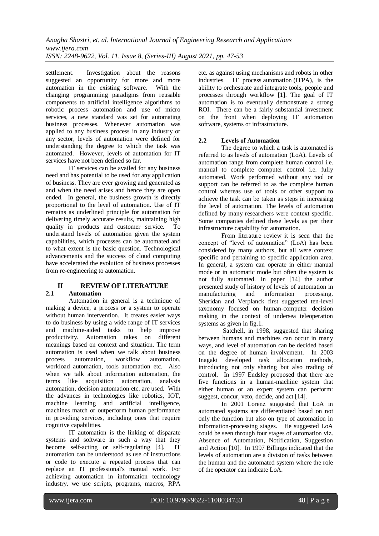settlement. Investigation about the reasons suggested an opportunity for more and more automation in the existing software. With the changing programming paradigms from reusable components to artificial intelligence algorithms to robotic process automation and use of micro services, a new standard was set for automating business processes. Whenever automation was applied to any business process in any industry or any sector, levels of automation were defined for understanding the degree to which the task was automated. However, levels of automation for IT services have not been defined so far.

IT services can be availed for any business need and has potential to be used for any application of business. They are ever growing and generated as and when the need arises and hence they are open ended. In general, the business growth is directly proportional to the level of automation. Use of IT remains as underlined principle for automation for delivering timely accurate results, maintaining high quality in products and customer service. To understand levels of automation given the system capabilities, which processes can be automated and to what extent is the basic question. Technological advancements and the success of cloud computing have accelerated the evolution of business processes from re-engineering to automation.

## **II REVIEW OF LITERATURE 2.1 Automation**

Automation in general is a technique of making a device, a process or a system to operate without human intervention. It creates easier ways to do business by using a wide range of IT services and machine-aided tasks to help improve productivity. Automation takes on different meanings based on context and situation. The term automation is used when we talk about business process automation, workflow automation, workload automation, tools automation etc. Also when we talk about information automation, the terms like acquisition automation, analysis automation, decision automation etc. are used. With the advances in technologies like robotics, IOT, machine learning and artificial intelligence, machines match or outperform human performance in providing services, including ones that require cognitive capabilities.

IT automation is the linking of disparate systems and software in such a way that they become self-acting or self-regulating [4]. IT automation can be understood as use of instructions or code to execute a repeated process that can replace an IT professional's manual work. For achieving automation in information technology industry, we use scripts, programs, macros, RPA etc. as against using mechanisms and robots in other industries. IT process automation (ITPA), is the ability to orchestrate and integrate tools, people and processes through workflow [1]. The goal of IT automation is to eventually demonstrate a strong ROI. There can be a fairly substantial investment on the front when deploying IT automation software, systems or infrastructure.

# **2.2 Levels of Automation**

The degree to which a task is automated is referred to as levels of automation (LoA). Levels of automation range from complete human control i.e. manual to complete computer control i.e. fully automated. Work performed without any tool or support can be referred to as the complete human control whereas use of tools or other support to achieve the task can be taken as steps in increasing the level of automation. The levels of automation defined by many researchers were context specific. Some companies defined these levels as per their infrastructure capability for automation.

From literature review it is seen that the concept of "level of automation" (LoA) has been considered by many authors, but all were context specific and pertaining to specific application area. In general, a system can operate in either manual mode or in automatic mode but often the system is not fully automated. In paper [14] the author presented study of history of levels of automation in manufacturing and information processing. Sheridan and Verplanck first suggested ten-level taxonomy focused on human-computer decision making in the context of undersea teleoperation systems as given in fig.1.

Satchell, in 1998, suggested that sharing between humans and machines can occur in many ways, and level of automation can be decided based on the degree of human involvement. In 2003 Inagaki developed task allocation methods, introducing not only sharing but also trading of control. In 1997 Endsley proposed that there are five functions in a human-machine system that either human or an expert system can perform: suggest, concur, veto, decide, and act [14].

In 2001 Lorenz suggested that LoA in automated systems are differentiated based on not only the function but also on type of automation in information-processing stages. He suggested LoA could be seen through four stages of automation viz. Absence of Automation, Notification, Suggestion and Action [10]. In 1997 Billings indicated that the levels of automation are a division of tasks between the human and the automated system where the role of the operator can indicate LoA.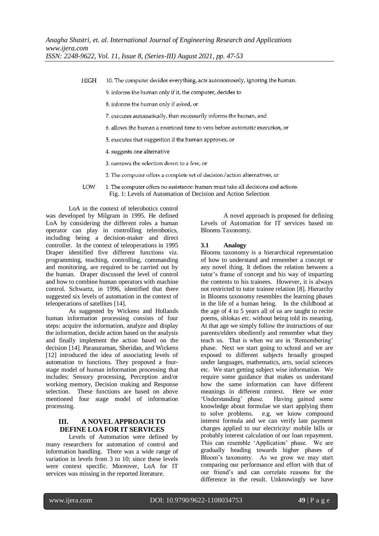**HIGH** 10. The computer decides everything, acts autonomously, ignoring the human.

9. informs the human only if it, the computer, decides to

8. informs the human only if asked, or

7. executes automatically, then necessarily informs the human, and

6. allows the human a restricted time to veto before automatic execution, or

5. executes that suggestion if the human approves, or

4. suggests one alternative

3. narrows the selection down to a few, or

2. The computer offers a complete set of decision/action alternatives, or

LOW 1. The computer offers no assistance: human must take all decisions and actions. Fig. 1: Levels of Automation of Decision and Action Selection

LoA in the context of telerobotics control was developed by Milgram in 1995. He defined LoA by considering the different roles a human operator can play in controlling telerobotics, including being a decision-maker and direct controller. In the context of teleoperations in 1995 Draper identified five different functions viz. programming, teaching, controlling, commanding and monitoring, are required to be carried out by the human. Draper discussed the level of control and how to combine human operators with machine control. Schwartz, in 1996, identified that there suggested six levels of automation in the context of teleoperations of satellites [14].

As suggested by Wickens and Hollands human information processing consists of four steps: acquire the information, analyze and display the information, decide action based on the analysis and finally implement the action based on the decision [14]. Parasuraman, Sheridan, and Wickens [12] introduced the idea of associating levels of automation to functions. They proposed a fourstage model of human information processing that includes: Sensory processing, Perception and/or working memory, Decision making and Response selection. These functions are based on above mentioned four stage model of information processing.

# **III. A NOVEL APPROACH TO DEFINE LOA FOR IT SERVICES**

Levels of Automation were defined by many researchers for automation of control and information handling. There was a wide range of variation in levels from 3 to 10; since these levels were context specific. Moreover, LoA for IT services was missing in the reported literature.

A novel approach is proposed for defining Levels of Automation for IT services based on Blooms Taxonomy.

## **3.1 Analogy**

Blooms taxonomy is a hierarchical representation of how to understand and remember a concept or any novel thing. It defines the relation between a tutor's frame of concept and his way of imparting the contents to his trainees. However, it is always not restricted to tutor trainee relation [8]. Hierarchy in Blooms taxonomy resembles the learning phases in the life of a human being. In the childhood at the age of 4 to 5 years all of us are taught to recite poems, shlokas etc. without being told its meaning. At that age we simply follow the instructions of our parents/elders obediently and remember what they teach us. That is when we are in 'Remembering' phase. Next we start going to school and we are exposed to different subjects broadly grouped under languages, mathematics, arts, social sciences etc. We start getting subject wise information. We require some guidance that makes us understand how the same information can have different meanings in different context. Here we enter 'Understanding' phase. Having gained some knowledge about formulae we start applying them to solve problems. e.g. we know compound interest formula and we can verify late payment charges applied to our electricity/ mobile bills or probably interest calculation of our loan repayment. This can resemble 'Application' phase. We are gradually heading towards higher phases of Bloom's taxonomy. As we grow we may start comparing our performance and effort with that of our friend's and can correlate reasons for the difference in the result. Unknowingly we have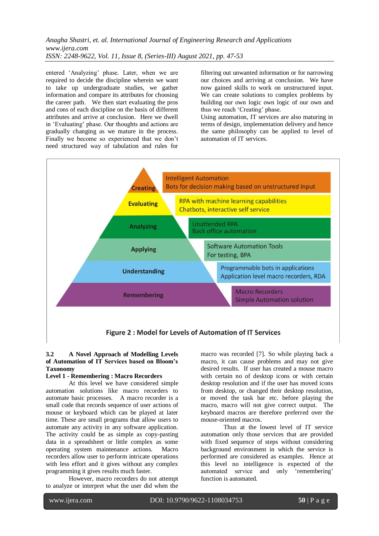*Anagha Shastri, et. al. International Journal of Engineering Research and Applications www.ijera.com ISSN: 2248-9622, Vol. 11, Issue 8, (Series-III) August 2021, pp. 47-53*

entered 'Analyzing' phase. Later, when we are required to decide the discipline wherein we want to take up undergraduate studies, we gather information and compare its attributes for choosing the career path. We then start evaluating the pros and cons of each discipline on the basis of different attributes and arrive at conclusion. Here we dwell in 'Evaluating' phase. Our thoughts and actions are gradually changing as we mature in the process. Finally we become so experienced that we don't need structured way of tabulation and rules for

filtering out unwanted information or for narrowing our choices and arriving at conclusion. We have now gained skills to work on unstructured input. We can create solutions to complex problems by building our own logic own logic of our own and thus we reach 'Creating' phase.

Using automation, IT services are also maturing in terms of design, implementation delivery and hence the same philosophy can be applied to level of automation of IT services.



### **3.2 A Novel Approach of Modelling Levels of Automation of IT Services based on Bloom's Taxonomy**

#### **Level 1 - Remembering : Macro Recorders**

At this level we have considered simple automation solutions like macro recorders to automate basic processes. A macro recorder is a small code that records sequence of user actions of mouse or keyboard which can be played at later time. These are small programs that allow users to automate any activity in any software application. The activity could be as simple as copy-pasting data in a spreadsheet or little complex as some operating system maintenance actions. Macro recorders allow user to perform intricate operations with less effort and it gives without any complex programming it gives results much faster.

However, macro recorders do not attempt to analyze or interpret what the user did when the macro was recorded [7]. So while playing back a macro, it can cause problems and may not give desired results. If user has created a mouse macro with certain no of desktop icons or with certain desktop resolution and if the user has moved icons from desktop, or changed their desktop resolution, or moved the task bar etc. before playing the macro, macro will not give correct output. The keyboard macros are therefore preferred over the mouse-oriented macros.

Thus at the lowest level of IT service automation only those services that are provided with fixed sequence of steps without considering background environment in which the service is performed are considered as examples. Hence at this level no intelligence is expected of the automated service and only 'remembering' function is automated.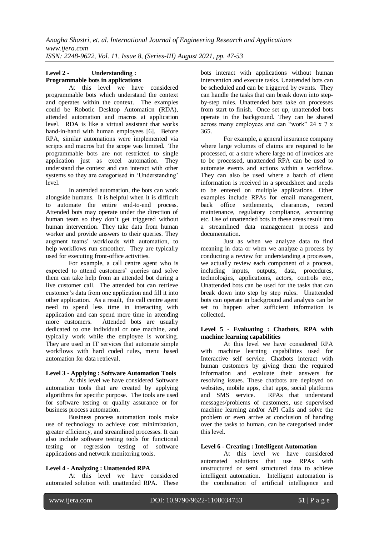# **Level 2 - Understanding : Programmable bots in applications**

At this level we have considered programmable bots which understand the context and operates within the context. The examples could be Robotic Desktop Automation (RDA), attended automation and macros at application level. RDA is like a virtual assistant that works hand-in-hand with human employees [6]. Before RPA, similar automations were implemented via scripts and macros but the scope was limited. The programmable bots are not restricted to single application just as excel automation. They understand the context and can interact with other systems so they are categorised in 'Understanding' level.

In attended automation, the bots can work alongside humans. It is helpful when it is difficult to automate the entire end-to-end process. Attended bots may operate under the direction of human team so they don't get triggered without human intervention. They take data from human worker and provide answers to their queries. They augment teams' workloads with automation, to help workflows run smoother. They are typically used for executing front-office activities.

For example, a call centre agent who is expected to attend customers' queries and solve them can take help from an attended bot during a live customer call. The attended bot can retrieve customer's data from one application and fill it into other application. As a result, the call centre agent need to spend less time in interacting with application and can spend more time in attending more customers. Attended bots are usually dedicated to one individual or one machine, and typically work while the employee is working. They are used in IT services that automate simple workflows with hard coded rules, menu based automation for data retrieval.

# **Level 3 - Applying : Software Automation Tools**

At this level we have considered Software automation tools that are created by applying algorithms for specific purpose. The tools are used for software testing or quality assurance or for business process automation.

Business process automation tools make use of technology to achieve cost minimization, greater efficiency, and streamlined processes. It can also include software testing tools for functional testing or regression testing of software applications and network monitoring tools.

# **Level 4 - Analyzing : Unattended RPA**

At this level we have considered automated solution with unattended RPA. These

bots interact with applications without human intervention and execute tasks. Unattended bots can be scheduled and can be triggered by events. They can handle the tasks that can break down into [step](https://www.thinkautomation.com/eli5/what-is-a-rule-based-system-what-is-it-not/)[by-step rules.](https://www.thinkautomation.com/eli5/what-is-a-rule-based-system-what-is-it-not/) Unattended bots take on processes from start to finish. Once set up, unattended bots operate in the background. They can be shared across many employees and can "work" 24 x 7 x 365.

For example, a general insurance company where large volumes of claims are required to be processed, or a store where large no of invoices are to be processed, unattended RPA can be used to automate events and actions within a workflow. They can also be used where a batch of client information is received in a spreadsheet and needs to be entered on multiple applications. Other examples include RPAs for email management, back office settlements, clearances, record maintenance, regulatory compliance, accounting etc. Use of unattended bots in these areas result into a streamlined data management process and documentation.

Just as when we analyze data to find meaning in data or when we analyze a process by conducting a review for understanding a processes, we actually review each component of a process, including inputs, outputs, data, procedures, technologies, applications, actors, controls etc., Unattended bots can be used for the tasks that can break down into step by step rules. Unattended bots can operate in background and analysis can be set to happen after sufficient information is collected.

## **Level 5 - Evaluating : Chatbots, RPA with machine learning capabilities**

At this level we have considered RPA with machine learning capabilities used for Interactive self service. Chatbots interact with human customers by giving them the required information and evaluate their answers for resolving issues. These chatbots are deployed on websites, mobile apps, chat apps, social platforms and SMS service. RPAs that understand messages/problems of customers, use supervised machine learning and/or API Calls and solve the problem or even arrive at conclusion of handing over the tasks to human, can be categorised under this level.

## **Level 6 - Creating : Intelligent Automation**

At this level we have considered automated solutions that use RPAs with unstructured or semi structured data to achieve intelligent automation. Intelligent automation is the combination of artificial intelligence and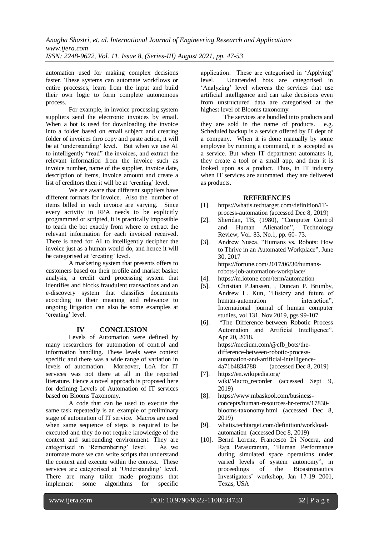automation used for making complex decisions faster. These systems can automate workflows or entire processes, learn from the input and build their own logic to form complete autonomous process.

For example, in invoice processing system suppliers send the electronic invoices by email. When a bot is used for downloading the invoice into a folder based on email subject and creating folder of invoices thro copy and paste action, it will be at 'understanding' level. But when we use AI to intelligently "read" the invoices, and extract the relevant information from the invoice such as invoice number, name of the supplier, invoice date, description of items, invoice amount and create a list of creditors then it will be at 'creating' level.

We are aware that different suppliers have different formats for invoice. Also the number of items billed in each invoice are varying. Since every activity in RPA needs to be explicitly programmed or scripted, it is practically impossible to teach the bot exactly from where to extract the relevant information for each invoiced received. There is need for AI to intelligently decipher the invoice just as a human would do, and hence it will be categorised at 'creating' level.

A marketing system that presents offers to customers based on their profile and market basket analysis, a credit card processing system that identifies and blocks fraudulent transactions and an e-discovery system that classifies documents according to their meaning and relevance to ongoing litigation can also be some examples at 'creating' level.

# **IV CONCLUSION**

Levels of Automation were defined by many researchers for automation of control and information handling. These levels were context specific and there was a wide range of variation in levels of automation. Moreover, LoA for IT services was not there at all in the reported literature. Hence a novel approach is proposed here for defining Levels of Automation of IT services based on Blooms Taxonomy.

A code that can be used to execute the same task repeatedly is an example of preliminary stage of automation of IT service. Macros are used when same sequence of steps is required to be executed and they do not require knowledge of the context and surrounding environment. They are categorised in 'Remembering' level. As we automate more we can write scripts that understand the context and execute within the context. These services are categorised at 'Understanding' level. There are many tailor made programs that implement some algorithms for specific

application. These are categorised in 'Applying' level. Unattended bots are categorised in 'Analyzing' level whereas the services that use artificial intelligence and can take decisions even from unstructured data are categorised at the highest level of Blooms taxonomy.

The services are bundled into products and they are sold in the name of products. e.g. Scheduled backup is a service offered by IT dept of a company. When it is done manually by some employee by running a command, it is accepted as a service. But when IT department automates it, they create a tool or a small app, and then it is looked upon as a product. Thus, in IT industry when IT services are automated, they are delivered as products.

## **REFERENCES**

- [1]. https://whatis.techtarget.com/definition/ITprocess-automation (accessed Dec 8, 2019)
- [2]. Sheridan, TB, (1980), "Computer Control and Human Alienation", Technology Review, Vol. 83, No.1, pp. 60- 73.
- [3]. Andrew Nusca, "Humans vs. Robots: How to Thrive in an Automated Workplace", June 30, 2017 https://fortune.com/2017/06/30/humansrobots-job-automation-workplace/
- [4]. https://m.iotone.com/term/automation
- [5]. [Christian P.Janssen, ,](https://www.sciencedirect.com/science/article/pii/S1071581919300552#!) [Duncan P. Brumby,](https://www.sciencedirect.com/science/article/pii/S1071581919300552#!)  [Andrew L. Kun,](https://www.sciencedirect.com/science/article/pii/S1071581919300552#!) "History and future of human-automation interaction" International journal of human computer studies, vol 131, Nov 2019, pgs 99-107
- [6]. "The Difference between Robotic Process Automation and Artificial Intelligence". Apr 20, 2018. https://medium.com/@cfb\_bots/thedifference-between-robotic-processautomation-and-artificial-intelligence-4a71b4834788 (accessed Dec 8, 2019)
- [7]. https://en.wikipedia.org/ wiki/Macro\_recorder (accessed Sept 9, 2019)
- [8]. https://www.mbaskool.com/businessconcepts/human-resources-hr-terms/17830 blooms-taxonomy.html (accessed Dec 8, 2019)
- [9]. whatis.techtarget.com/definition/workloadautomation (accessed Dec 8, 2019)
- [10]. Bernd Lorenz, Francesco Di Nocera, and Raja Parasuraman, "Human Performance during simulated space operations under varied levels of system autonomy", in<br>proceedings of the Bioastronautics proceedings of the Bioastronautics Investigators' workshop, Jan 17-19 2001, Texas, USA